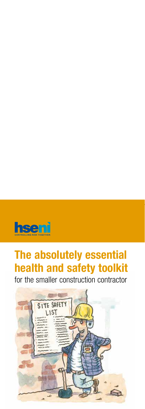

# **The absolutely essential health and safety toolkit**

for the smaller construction contractor

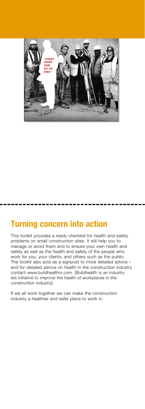

### **Turning concern into action**

This toolkit provides a ready checklist for health and safety problems on small construction sites. It will help you to manage or avoid them and to ensure your own health and safety as well as the health and safety of the people who work for you, your clients, and others such as the public. The toolkit also acts as a signpost to more detailed advice and for detailed advice on health in the construction industry contact www.buildhealthni.com. [Buildhealth is an industry led initiative to improve the health of workplaces in the construction industry].

If we all work together we can make the construction industry a healthier and safer place to work in.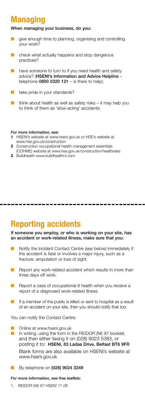# **Managing**

#### When managing your business, do you:

- give enough time to planning, organising and controlling your work?
- check what actually happens and stop dangerous practices?
- have someone to turn to if you need health and safety advice? (HSENI's Information and Advice Helpline – telephone  $0800 0320 121 -$  is there to help);
- take pride in your standards?
- think about health as well as safety risks it may help you to think of them as 'slow-acting' accidents.

#### *For more information, see:*

- **1** HSENI's website at www.hseni.gov.uk or HSE's website at www.hse.gov.uk/construction
- **2** Construction occupational health management essentials
- (COHME) website at www.hse.gov.uk/construction/healthrisks
- **3** Buildhealth www.buildhealthni.com

### **Reporting accidents**

If someone you employ, or who is working on your site, has an accident or work-related illness, make sure that you:

- Notify the Incident Contact Centre (see below) immediately if the accident is fatal or involves a major injury, such as a fracture, amputation or loss of sight.
- Report any work-related accident which results in more than three days off work.
- Report a case of occupational ill health when you receive a report of a diagnosed work-related illness.
- If a member of the public is killed or sent to hospital as a result of an accident on your site, then you should notify that too.

You can notify the Contact Centre:

- Online at www.hseni.gov.uk
- In writing, using the form in the RIDDOR (NI) 97 booklet, and then either faxing it on (028) 9023 5383, or posting it to: HSENI, 83 Ladas Drive, Belfast BT6 9FR Blank forms are also available on HSENI's website at www.hseni.gov.uk
- By telephone on (028) 9024 3249

#### *For more information, see free leaflets:*

 1. *RIDDOR (NI) 97 HSENI 11 08*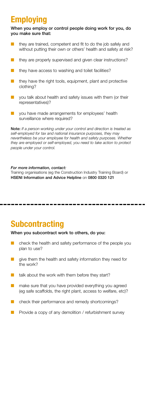# **Employing**

When you employ or control people doing work for you, do you make sure that:

- they are trained, competent and fit to do the job safely and without putting their own or others' health and safety at risk?
- they are properly supervised and given clear instructions?
- they have access to washing and toilet facilities?
- they have the right tools, equipment, plant and protective clothing?
- you talk about health and safety issues with them (or their representatives)?
- $\blacksquare$  vou have made arrangements for employees' health surveillance where required?

Note: *If a person working under your control and direction is treated as self-employed for tax and national insurance purposes, they may nevertheless be your employee for health and safety purposes. Whether they are employed or self-employed, you need to take action to protect people under your control.* 

#### *For more information, contact:*

Training organisations (eg the Construction Industry Training Board) or HSENI Information and Advice Helpline on 0800 0320 121

#### **Subcontracting**

#### When you subcontract work to others, do you:

- $\blacksquare$  check the health and safety performance of the people you plan to use?
- give them the health and safety information they need for the work?
- talk about the work with them before they start?
- make sure that you have provided everything you agreed (eg safe scaffolds, the right plant, access to welfare, etc)?
- $\blacksquare$  check their performance and remedy shortcomings?
- $\blacksquare$  Provide a copy of any demolition / refurbishment survey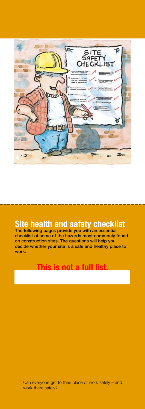

### **Site health and safety checklist**

The following pages provide you with an essential checklist of some of the hazards most commonly found on construction sites. The questions will help you decide whether your site is a safe and healthy place to work.

### **This is not a full list.**

Can everyone get to their place of work safely – and work there safely?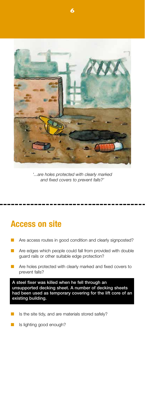

**6** 

*'...are holes protected with clearly marked and fixed covers to prevent falls?'* 

### **Access on site**

- Are access routes in good condition and clearly signposted?
- Are edges which people could fall from provided with double guard rails or other suitable edge protection?
- Are holes protected with clearly marked and fixed covers to prevent falls?

A steel fixer was killed when he fell through an unsupported decking sheet. A number of decking sheets had been used as temporary covering for the lift core of an existing building.

- Is the site tidy, and are materials stored safely?
- Is lighting good enough?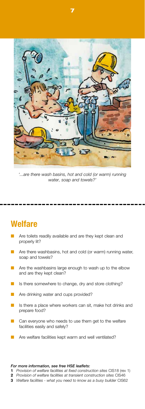

**7** 

*'...are there wash basins, hot and cold (or warm) running water, soap and towels?'* 

#### **Welfare**

- Are toilets readily available and are they kept clean and properly lit?
- Are there washbasins, hot and cold (or warm) running water, soap and towels?
- Are the washbasins large enough to wash up to the elbow and are they kept clean?
- Is there somewhere to change, dry and store clothing?
- Are drinking water and cups provided?
- Is there a place where workers can sit, make hot drinks and prepare food?
- Can everyone who needs to use them get to the welfare facilities easily and safely?
- Are welfare facilities kept warm and well ventilated?

#### *For more information, see free HSE leaflets:*

**1** *Provision of welfare facilities at fixed construction sites* CIS18 (rev 1)

- **2** *Provision of welfare facilities at transient construction sites* CIS46
- **3** *Welfare facilities what you need to know as a busy builder* CIS62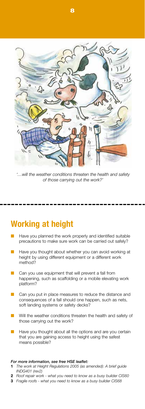*'…will the weather conditions threaten the health and safety of those carrying out the work?'* 

### **Working at height**

- Have you planned the work properly and identified suitable precautions to make sure work can be carried out safely?
- Have you thought about whether you can avoid working at height by using different equipment or a different work method?
- Can you use equipment that will prevent a fall from happening, such as scaffolding or a mobile elevating work platform?
- Can you put in place measures to reduce the distance and consequences of a fall should one happen, such as nets, soft landing systems or safety decks?
- Will the weather conditions threaten the health and safety of those carrying out the work?
- Have you thought about all the options and are you certain that you are gaining access to height using the safest means possible?

#### *For more information, see free HSE leaflet:*

- The work at Height Regulations 2005 (as amended): A brief guide *INDG401 (rev2)*
- **2** *Roof repair work what you need to know as a busy builder CIS60*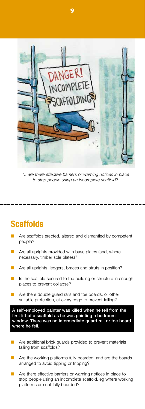

*'...are there effective barriers or warning notices in place to stop people using an incomplete scaffold?'* 

### **Scaffolds**

- Are scaffolds erected, altered and dismantled by competent people?
- Are all uprights provided with base plates (and, where necessary, timber sole plates)?
- Are all uprights, ledgers, braces and struts in position?
- Is the scaffold secured to the building or structure in enough places to prevent collapse?
- Are there double guard rails and toe boards, or other suitable protection, at every edge to prevent falling?

A self-employed painter was killed when he fell from the first lift of a scaffold as he was painting a bedroom window. There was no intermediate guard rail or toe board where he fell.

- Are additional brick guards provided to prevent materials falling from scaffolds?
- Are the working platforms fully boarded, and are the boards arranged to avoid tipping or tripping?
- **n** Are there effective barriers or warning notices in place to stop people using an incomplete scaffold, eg where working platforms are not fully boarded?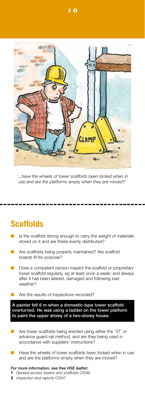

*'...have the wheels of tower scaffolds been locked when in use and are the platforms empty when they are moved?'* 

# **Scaffolds**

- Is the scaffold strong enough to carry the weight of materials stored on it and are these evenly distributed?
- Are scaffolds being properly maintained? Are scaffold boards fit for purpose?
- Does a competent person inspect the scaffold or proprietary tower scaffold regularly, eg at least once a week; and always after it has been altered, damaged and following bad weather?
- Are the results of inspections recorded?

A painter fell 6 m when a domestic-type tower scaffold overturned. He was using a ladder on the tower platform to paint the upper storey of a two-storey house.

- Are tower scaffolds being erected using either the '3T' or advance guard rail method, and are they being used in accordance with suppliers' instructions?
- Have the wheels of tower scaffolds been locked when in use and are the platforms empty when they are moved?

*For more information, see free HSE leaflet:*  **1** *General access towers and scaffolds CIS49* 

**2** *Inspection and reports CIS47* 

**10**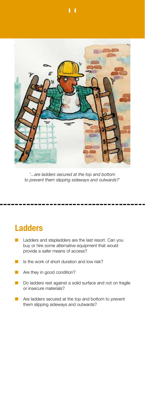

*'...are ladders secured at the top and bottom to prevent them slipping sideways and outwards?'* 

### **Ladders**

- Ladders and stepladders are the last resort. Can you buy or hire some alternative equipment that would provide a safer means of access?
- Is the work of short duration and low risk?
- $\blacksquare$  Are they in good condition?
- Do ladders rest against a solid surface and not on fragile or insecure materials?
- Are ladders secured at the top and bottom to prevent them slipping sideways and outwards?

**11**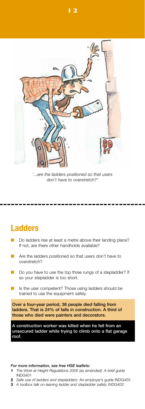

*'...are the ladders positioned so that users don't have to overstretch?'* 

### **Ladders**

- Do ladders rise at least a metre above their landing place? If not, are there other handholds available?
- Are the ladders positioned so that users don't have to overstretch?
- Do you have to use the top three rungs of a stepladder? If so your stepladder is too short.
- Is the user competent? Those using ladders should be trained to use the equipment safely.

Over a four-year period, 36 people died falling from ladders. That is 24% of falls in construction. A third of those who died were painters and decorators.

A construction worker was killed when he fell from an unsecured ladder while trying to climb onto a flat garage roof.

#### *For more information, see free HSE leaflets:*

- **1** *The Work at Height Regulations 2005 (as amended): A brief guide*  INDG401
- **2** *Safe use of ladders and stepladders:* An employer's guide INDG455
- **3** *A toolbox talk on leaning ladder and stepladder safety INDG403*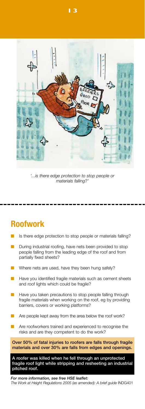

*'...is there edge protection to stop people or materials falling?'* 

# **Roofwork**

- Is there edge protection to stop people or materials falling?
- During industrial roofing, have nets been provided to stop people falling from the leading edge of the roof and from partially fixed sheets?
- Where nets are used, have they been hung safely?
- Have you identified fragile materials such as cement sheets and roof lights which could be fragile?
- Have you taken precautions to stop people falling through fragile materials when working on the roof, eg by providing barriers, covers or working platforms?
- Are people kept away from the area below the roof work?
- Are roofworkers trained and experienced to recognise the risks and are they competent to do the work?

Over 50% of fatal injuries to roofers are falls through fragile materials and over 30% are falls from edges and openings.

A roofer was killed when he fell through an unprotected fragile roof light while stripping and resheeting an industrial pitched roof.

*For more information, see free HSE leaflet: The Work at Height Regulations 2005 (as amended): A brief guide* INDG401

**13**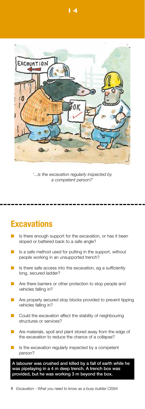

*'...is the excavation regularly inspected by a competent person?'* 

# **Excavations**

- Is there enough support for the excavation, or has it been sloped or battered back to a safe angle?
- Is a safe method used for putting in the support, without people working in an unsupported trench?
- Is there safe access into the excavation, eg a sufficiently long, secured ladder?
- Are there barriers or other protection to stop people and vehicles falling in?
- Are properly secured stop blocks provided to prevent tipping vehicles falling in?
- Could the excavation affect the stability of neighbouring structures or services?
- Are materials, spoil and plant stored away from the edge of the excavation to reduce the chance of a collapse?
- Is the excavation regularly inspected by a competent person?

A labourer was crushed and killed by a fall of earth while he was pipelaying in a 4 m deep trench. A trench box was provided, but he was working 3 m beyond the box.

**14** 

**1** *Excavation - What you need to know as a busy builder CIS64*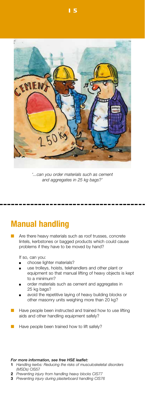

*'...can you order materials such as cement and aggregates in 25 kg bags?'* 

# **Manual handling**

Are there heavy materials such as roof trusses, concrete lintels, kerbstones or bagged products which could cause problems if they have to be moved by hand?

If so, can you:

- choose lighter materials?
- use trolleys, hoists, telehandlers and other plant or equipment so that manual lifting of heavy objects is kept to a minimum?
- order materials such as cement and aggregates in 25 kg bags?
- **n** avoid the repetitive laying of heavy building blocks or other masonry units weighing more than 20 kg?
- Have people been instructed and trained how to use lifting aids and other handling equipment safely?
- Have people been trained how to lift safely?

#### *For more information, see free HSE leaflet:*

- **1** *Handling kerbs: Reducing the risks of musculoskeletal disorders (MSDs)* CIS57
- **2** *Preventing injury from handling heavy blocks CIS77*
- **3** *Preventing injury during plasterboard handling CIS76*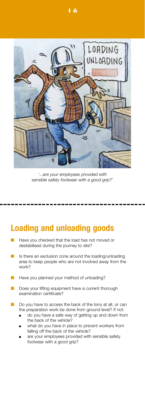

*'...are your employees provided with sensible safety footwear with a good grip?'* 

### **Loading and unloading goods**

- Have you checked that the load has not moved or destabilised during the journey to site?
- Is there an exclusion zone around the loading/unloading area to keep people who are not involved away from the work?
- Have you planned your method of unloading?
- Does your lifting equipment have a current thorough examination certificate?
- Do you have to access the back of the lorry at all, or can the preparation work be done from ground level? If not:
	- do you have a safe way of getting up and down from the back of the vehicle?
	- what do you have in place to prevent workers from falling off the back of the vehicle?
	- are your employees provided with sensible safety footwear with a good grip?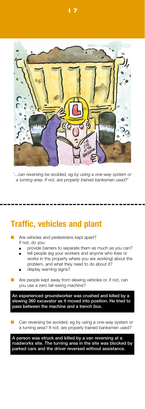

*'...can reversing be avoided, eg by using a one-way system or a turning area. If not, are properly trained banksmen used?'* 

### **Traffic, vehicles and plant**

- Are vehicles and pedestrians kept apart? If not, do you:
	- provide barriers to separate them as much as you can?
	- tell people (eg your workers and anyone who lives or works in the property where you are working) about the problem, and what they need to do about it?
	- display warning signs?
- Are people kept away from slewing vehicles or, if not, can you use a zero tail-swing machine?

An experienced groundworker was crushed and killed by a slewing 360 excavator as it moved into position. He tried to pass between the machine and a trench box.

Can reversing be avoided, eg by using a one-way system or a turning area? If not, are properly trained banksmen used?

A person was struck and killed by a van reversing at a roadworks site. The turning area in the site was blocked by parked cars and the driver reversed without assistance.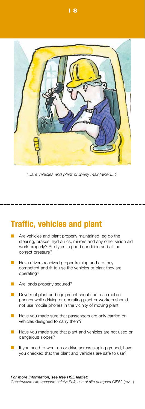

*'...are vehicles and plant properly maintained...?'* 

### **Traffic, vehicles and plant**

- Are vehicles and plant properly maintained, eg do the steering, brakes, hydraulics, mirrors and any other vision aid work properly? Are tyres in good condition and at the correct pressure?
- Have drivers received proper training and are they competent and fit to use the vehicles or plant they are operating?
- Are loads properly secured?
- Drivers of plant and equipment should not use mobile phones while driving or operating plant or workers should not use mobile phones in the vicinity of moving plant.
- Have you made sure that passengers are only carried on vehicles designed to carry them?
- Have you made sure that plant and vehicles are not used on dangerous slopes?
- If you need to work on or drive across sloping ground, have you checked that the plant and vehicles are safe to use?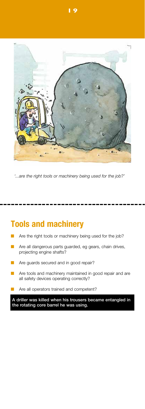

*'...are the right tools or machinery being used for the job?'* 

# **Tools and machinery**

- Are the right tools or machinery being used for the job?
- Are all dangerous parts guarded, eg gears, chain drives, projecting engine shafts?
- Are guards secured and in good repair?
- Are tools and machinery maintained in good repair and are all safety devices operating correctly?
- Are all operators trained and competent?

A driller was killed when his trousers became entangled in the rotating core barrel he was using.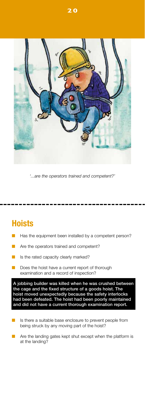

*'...are the operators trained and competent?'* 

# **Hoists**

- Has the equipment been installed by a competent person?
- Are the operators trained and competent?
- Is the rated capacity clearly marked?
- Does the hoist have a current report of thorough examination and a record of inspection?

A jobbing builder was killed when he was crushed between the cage and the fixed structure of a goods hoist. The hoist moved unexpectedly because the safety interlocks had been defeated. The hoist had been poorly maintained and did not have a current thorough examination report.

- Is there a suitable base enclosure to prevent people from being struck by any moving part of the hoist?
- Are the landing gates kept shut except when the platform is at the landing?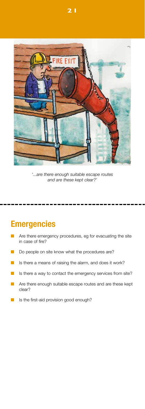

*'...are there enough suitable escape routes and are these kept clear?'* 

# **Emergencies**

- Are there emergency procedures, eg for evacuating the site in case of fire?
- Do people on site know what the procedures are?
- Is there a means of raising the alarm, and does it work?
- Is there a way to contact the emergency services from site?
- Are there enough suitable escape routes and are these kept clear?
- **n** Is the first-aid provision good enough?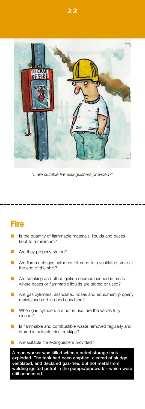

*'...are suitable fire extinguishers provided?'* 

# **Fire**

- Is the quantity of flammable materials, liquids and gases kept to a minimum?
- Are they properly stored?
- Are flammable gas cylinders returned to a ventilated store at the end of the shift?
- Are smoking and other ignition sources banned in areas where gases or flammable liquids are stored or used?
- Are gas cylinders, associated hoses and equipment properly maintained and in good condition?
- When gas cylinders are not in use, are the valves fully closed?
- Is flammable and combustible waste removed regularly and stored in suitable bins or skips?
- Are suitable fire extinguishers provided?

A road worker was killed when a petrol storage tank exploded. The tank had been emptied, cleared of sludge, ventilated, and declared gas-free, but hot metal from welding ignited petrol in the pumps/pipework – which were still connected.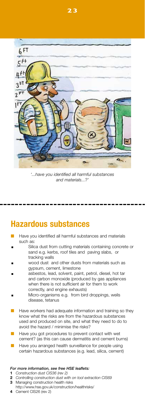

**23** 

*'...have you identified all harmful substances and materials...?'* 

### **Hazardous substances**

- Have you identified all harmful substances and materials such as:
- Silica dust from cutting materials containing concrete or sand e.g. kerbs, roof tiles and paving slabs, or tracking walls
- wood dust and other dusts from materials such as gypsum, cement, limestone
- asbestos, lead, solvent, paint, petrol, diesel, hot tar and carbon monoxide (produced by gas appliances when there is not sufficient air for them to work correctly, and engine exhausts)
- Micro-organisms e.g. from bird droppings, weils disease, tetanus
- Have workers had adequate information and training so they know what the risks are from the hazardous substances used and produced on site, and what they need to do to avoid the hazard / minimise the risks?
- Have you got procedures to prevent contact with wet cement? (as this can cause dermatitis and cement burns)
- Have you arranged health surveillance for people using certain hazardous substances (e.g. lead, silica, cement)

#### *For more information, see free HSE leaflets:*

- **1** *Construction dust CIS36 (rev 2)*
- **2** *Controlling construction dust with on tool extraction CIS69*
- **3** Managing construction health risks http://www.hse.gov.uk/construction/healthrisks/
- 
- **4** Cement CIS26 (rev 2)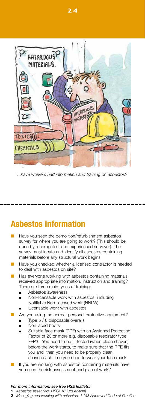

*'...have workers had information and training on asbestos?'* 

### **Asbestos Information**

- Have you seen the demolition/refurbishment asbestos survey for where you are going to work? (This should be done by a competent and experienced surveyor). The survey must locate and identify all asbestos containing materials before any structural work begins
- Have you checked whether a licensed contractor is needed to deal with asbestos on site?
- Has everyone working with asbestos containing materials received appropriate information, instruction and training? There are three main types of training:
	- **n** Asbestos awareness
	- Non-licensable work with asbestos, including Notifiable Non-licensed work (NNLW)
	- Licensable work with asbestos
- Are you using the correct personal protective equipment? Type 5 / 6 disposable overalls
	- Non laced boots
	- Suitable face mask (RPE) with an Assigned Protection Factor of 20 or more e.g. disposable respirator type FFP3. You need to be fit tested (when clean shaven) before the work starts, to make sure that the RPE fits you and then you need to be properly clean shaven each time you need to wear your face mask
- If you are working with asbestos containing materials have you seen the risk assessment and plan of work?

#### *For more information, see free HSE leaflets:*

- **1** *Asbestos essentials HSG210 (3rd edition)*
- **2** *Managing and working with asbestos –L143 Approved Code of Practice*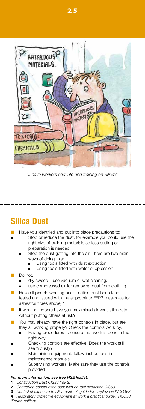

*'...have workers had info and training on Silica?'* 

### **Silica Dust**

- Have you identified and put into place precautions to:
- Stop or reduce the dust, for example you could use the right size of building materials so less cutting or preparation is needed;
	- Stop the dust getting into the air. There are two main ways of doing this:
		- <sup>n</sup> using tools fitted with dust extraction
		- using tools fitted with water suppression
- Do not
	- dry sweep use vacuum or wet cleaning;
	- use compressed air for removing dust from clothing
- Have all people working near to silica dust been face fit tested and issued with the appropriate FFP3 masks (as for asbestos fibres above)?
- If working indoors have you maximised air ventilation rate without putting others at risk?
- You may already have the right controls in place, but are they all working properly? Check the controls work by:
	- Having procedures to ensure that work is done in the right way
- Checking controls are effective. Does the work still seem dusty?
- Maintaining equipment: follow instructions in maintenance manuals;
- Supervising workers. Make sure they use the controls provided

#### *For more information, see free HSE leaflet:*

- **1** *Construction Dust CIS36 (rev 2)*
- **2** *Controlling construction dust with on tool extraction CIS69*
- **3** *Control of exposure to silica dust A guide for employees INDG463*  **4** *Respiratory protective equipment at work a practical guide. HSG53*

*(Fourth edition).*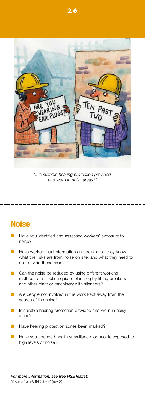

*'...is suitable hearing protection provided and worn in noisy areas?'* 

# **Noise**

- Have you identified and assessed workers' exposure to noise?
- Have workers had information and training so they know what the risks are from noise on site, and what they need to do to avoid those risks?
- Can the noise be reduced by using different working methods or selecting quieter plant, eg by fitting breakers and other plant or machinery with silencers?
- Are people not involved in the work kept away from the source of the noise?
- Is suitable hearing protection provided and worn in noisy areas?
- Have hearing protection zones been marked?
- Have you arranged health surveillance for people exposed to high levels of noise?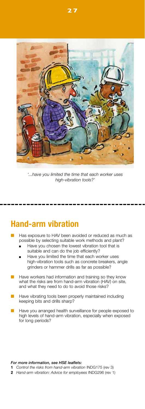

*'...have you limited the time that each worker uses high-vibration tools?'* 

### **Hand-arm vibration**

- Has exposure to HAV been avoided or reduced as much as possible by selecting suitable work methods and plant?
	- Have you chosen the lowest vibration tool that is suitable and can do the job efficiently?
	- Have you limited the time that each worker uses high-vibration tools such as concrete breakers, angle grinders or hammer drills as far as possible?
- Have workers had information and training so they know what the risks are from hand-arm vibration (HAV) on site, and what they need to do to avoid those risks?
- Have vibrating tools been properly maintained including keeping bits and drills sharp?
- Have you arranged health surveillance for people exposed to high levels of hand-arm vibration, especially when exposed for long periods?

#### *For more information, see HSE leaflets:*

- **1** *Control the risks from hand-arm vibration* INDG175 (rev 3)
- **2** *Hand-arm vibration: Advice for employees* INDG296 (rev 1)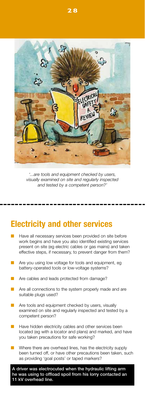

*'...are tools and equipment checked by users, visually examined on site and regularly inspected and tested by a competent person?'* 

### **Electricity and other services**

- Have all necessary services been provided on site before work begins and have you also identified existing services present on site (eg electric cables or gas mains) and taken effective steps, if necessary, to prevent danger from them?
- Are you using low voltage for tools and equipment, eg battery-operated tools or low-voltage systems?
- Are cables and leads protected from damage?
- Are all connections to the system properly made and are suitable plugs used?
- Are tools and equipment checked by users, visually examined on site and regularly inspected and tested by a competent person?
- Have hidden electricity cables and other services been located (eg with a locator and plans) and marked, and have you taken precautions for safe working?
- Where there are overhead lines, has the electricity supply been turned off, or have other precautions been taken, such as providing 'goal posts' or taped markers?

A driver was electrocuted when the hydraulic lifting arm he was using to offload spoil from his lorry contacted an 11 kV overhead line.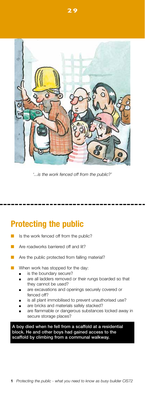

*'...is the work fenced off from the public?'* 

# **Protecting the public**

- Is the work fenced off from the public?
- Are roadworks barriered off and lit?
- Are the public protected from falling material?
- When work has stopped for the day:
	- is the boundary secure?
	- are all ladders removed or their rungs boarded so that they cannot be used?
	- **n** are excavations and openings securely covered or fenced off?
	- is all plant immobilised to prevent unauthorised use?
	- are bricks and materials safely stacked?
	- are flammable or dangerous substances locked away in secure storage places?

A boy died when he fell from a scaffold at a residential block. He and other boys had gained access to the scaffold by climbing from a communal walkway.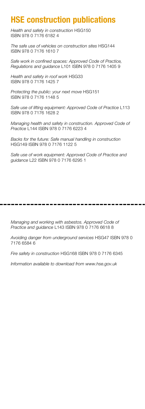### **HSE construction publications**

*Health and safety in construction* HSG150 ISBN 978 0 7176 6182 4

*The safe use of vehicles on construction sites* HSG144 ISBN 978 0 7176 1610 7

*Safe work in confined spaces: Approved Code of Practice, Regulations and guidance* L101 ISBN 978 0 7176 1405 9

*Health and safety in roof work* HSG33 ISBN 978 0 7176 1425 7

*Protecting the public: your next move* HSG151 ISBN 978 0 7176 1148 5

*Safe use of lifting equipment: Approved Code of Practice* L113 ISBN 978 0 7176 1628 2

*Managing health and safety in construction. Approved Code of Practice* L144 ISBN 978 0 7176 6223 4

*Backs for the future: Safe manual handling in construction*  HSG149 ISBN 978 0 7176 1122 5

*Safe use of work equipment: Approved Code of Practice and guidance* L22 ISBN 978 0 7176 6295 1

*Managing and working with asbestos. Approved Code of Practice and guidance* L143 ISBN 978 0 7176 6618 8

*Avoiding danger from underground services* HSG47 ISBN 978 0 7176 6584 6

*Fire safety in construction* HSG168 ISBN 978 0 7176 6345

*Information available to download from www.hse.gov.uk*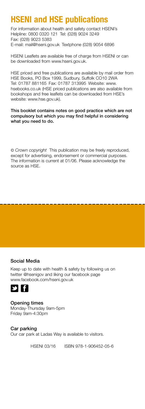# **HSENI and HSE publications**

For information about health and safety contact HSENI's Helpline: 0800 0320 121 Tel: (028) 9024 3249 Fax: (028) 9023 5383 E-mail: mail@hseni.gov.uk Textphone (028) 9054 6896

HSENI Leaflets are available free of charge from HSENI or can be downloaded from www.hseni.gov.uk.

HSE priced and free publications are available by mail order from HSE Books, PO Box 1999, Sudbury, Suffolk CO10 2WA Tel: 01787 881165 Fax: 01787 313995 Website: www. hsebooks.co.uk (HSE priced publications are also available from bookshops and free leaflets can be downloaded from HSE's website: www.hse.gov.uk).

#### This booklet contains notes on good practice which are not compulsory but which you may find helpful in considering what you need to do.

© *Crown copyright* This publication may be freely reproduced, except for advertising, endorsement or commercial purposes. The information is current at 01/06. Please acknowledge the source as HSE.

#### Social Media

Keep up to date with health & safety by following us on twitter @hsenigov and liking our facebook page www.facebook.com/hseni.gov.uk



Opening times Monday-Thursday 9am-5pm Friday 9am-4:30pm

Car parking Our car park at Ladas Way is available to visitors.

HSENI 03/16 ISBN 978-1-906452-05-6